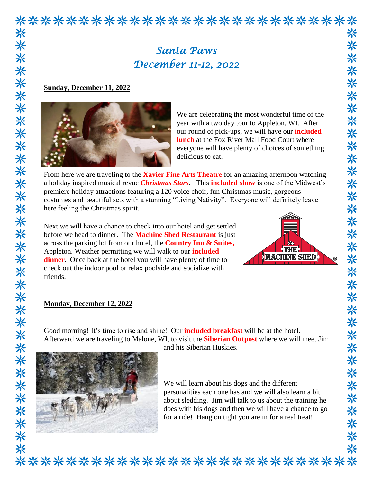

*December 11-12, 2022* 

## **Sunday, December 11, 2022**



We are celebrating the most wonderful time of the year with a two day tour to Appleton, WI. After our round of pick-ups, we will have our **included lunch** at the Fox River Mall Food Court where everyone will have plenty of choices of something delicious to eat.

From here we are traveling to the **Xavier Fine Arts Theatre** for an amazing afternoon watching a holiday inspired musical revue *Christmas Stars*. This **included show** is one of the Midwest's premiere holiday attractions featuring a 120 voice choir, fun Christmas music, gorgeous costumes and beautiful sets with a stunning "Living Nativity". Everyone will definitely leave here feeling the Christmas spirit.

Next we will have a chance to check into our hotel and get settled before we head to dinner. The **Machine Shed Restaurant** is just across the parking lot from our hotel, the **Country Inn & Suites,** Appleton. Weather permitting we will walk to our **included dinner**. Once back at the hotel you will have plenty of time to check out the indoor pool or relax poolside and socialize with friends.



## **Monday, December 12, 2022**

Good morning! It's time to rise and shine! Our **included breakfast** will be at the hotel. Afterward we are traveling to Malone, WI, to visit the **Siberian Outpost** where we will meet Jim



and his Siberian Huskies.

We will learn about his dogs and the different personalities each one has and we will also learn a bit about sledding. Jim will talk to us about the training he does with his dogs and then we will have a chance to go for a ride! Hang on tight you are in for a real treat!

 $^{\circ}$